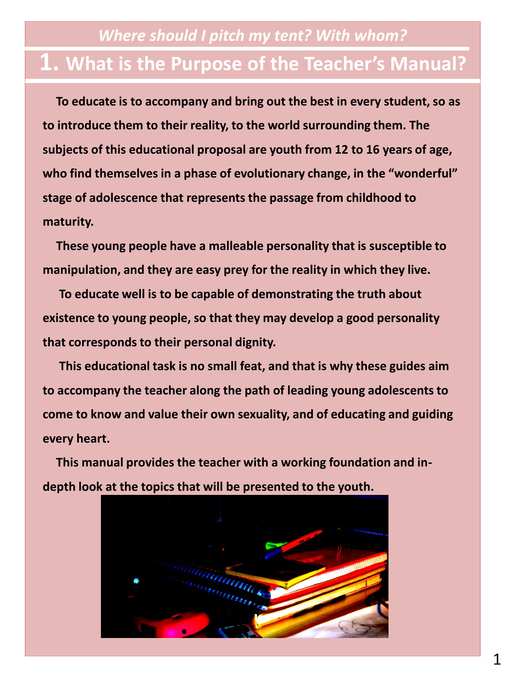## *Where should I pitch my tent? With whom?* **1. What is the Purpose of the Teacher's Manual?**

**To educate is to accompany and bring out the best in every student, so as to introduce them to their reality, to the world surrounding them. The subjects of this educational proposal are youth from 12 to 16 years of age, who find themselves in a phase of evolutionary change, in the "wonderful" stage of adolescence that represents the passage from childhood to maturity.** 

**These young people have a malleable personality that is susceptible to manipulation, and they are easy prey for the reality in which they live.**

**To educate well is to be capable of demonstrating the truth about existence to young people, so that they may develop a good personality that corresponds to their personal dignity.** 

**This educational task is no small feat, and that is why these guides aim to accompany the teacher along the path of leading young adolescents to come to know and value their own sexuality, and of educating and guiding every heart.**

**This manual provides the teacher with a working foundation and indepth look at the topics that will be presented to the youth.**